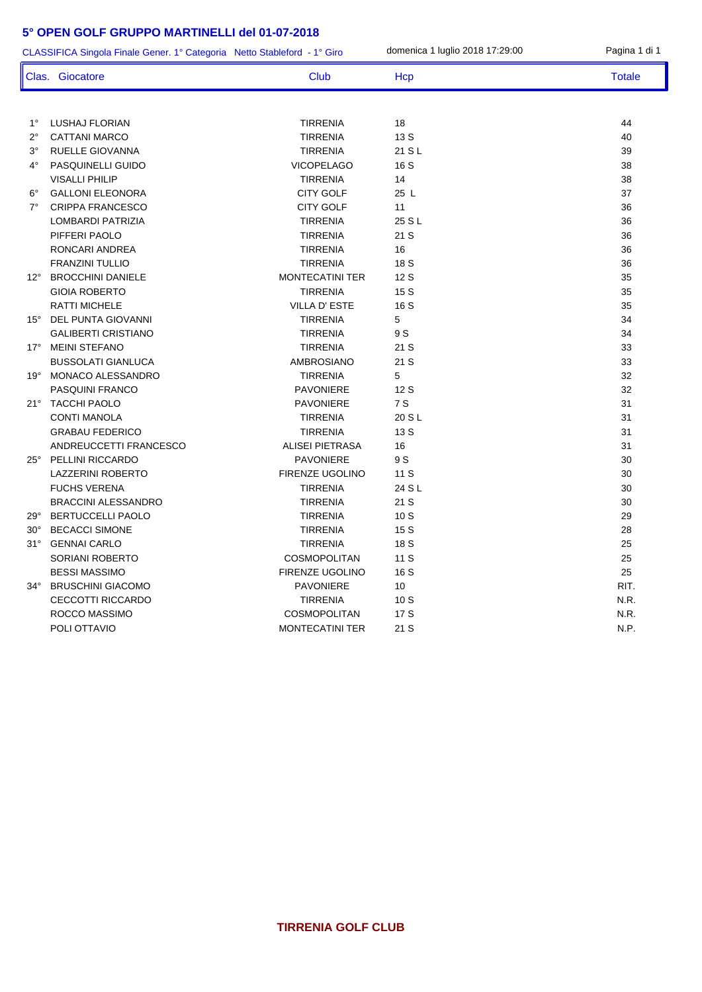ľ I

| domenica 1 luglio 2018 17:29:00<br>Pagina 1 di 1<br>CLASSIFICA Singola Finale Gener. 1° Categoria Netto Stableford - 1° Giro |                            |                        |        |               |
|------------------------------------------------------------------------------------------------------------------------------|----------------------------|------------------------|--------|---------------|
|                                                                                                                              | Clas. Giocatore            | Club                   | Hcp    | <b>Totale</b> |
|                                                                                                                              |                            |                        |        |               |
| $1^{\circ}$                                                                                                                  | LUSHAJ FLORIAN             | <b>TIRRENIA</b>        | 18     | 44            |
| $2^{\circ}$                                                                                                                  | <b>CATTANI MARCO</b>       | <b>TIRRENIA</b>        | 13 S   | 40            |
| $3^{\circ}$                                                                                                                  | RUELLE GIOVANNA            | <b>TIRRENIA</b>        | 21 S L | 39            |
| $4^\circ$                                                                                                                    | PASQUINELLI GUIDO          | <b>VICOPELAGO</b>      | 16 S   | 38            |
|                                                                                                                              | <b>VISALLI PHILIP</b>      | <b>TIRRENIA</b>        | 14     | 38            |
| $6^{\circ}$                                                                                                                  | <b>GALLONI ELEONORA</b>    | <b>CITY GOLF</b>       | 25 L   | 37            |
| $7^\circ$                                                                                                                    | <b>CRIPPA FRANCESCO</b>    | <b>CITY GOLF</b>       | 11     | 36            |
|                                                                                                                              | LOMBARDI PATRIZIA          | <b>TIRRENIA</b>        | 25 S L | 36            |
|                                                                                                                              | PIFFERI PAOLO              | <b>TIRRENIA</b>        | 21S    | 36            |
|                                                                                                                              | RONCARI ANDREA             | <b>TIRRENIA</b>        | 16     | 36            |
|                                                                                                                              | <b>FRANZINI TULLIO</b>     | <b>TIRRENIA</b>        | 18 S   | 36            |
| $12^{\circ}$                                                                                                                 | <b>BROCCHINI DANIELE</b>   | <b>MONTECATINI TER</b> | 12S    | 35            |
|                                                                                                                              | <b>GIOIA ROBERTO</b>       | <b>TIRRENIA</b>        | 15S    | 35            |
|                                                                                                                              | <b>RATTI MICHELE</b>       | <b>VILLA D' ESTE</b>   | 16 S   | 35            |
|                                                                                                                              | 15° DEL PUNTA GIOVANNI     | <b>TIRRENIA</b>        | 5      | 34            |
|                                                                                                                              | <b>GALIBERTI CRISTIANO</b> | <b>TIRRENIA</b>        | 9 S    | 34            |
|                                                                                                                              | 17° MEINI STEFANO          | <b>TIRRENIA</b>        | 21 S   | 33            |
|                                                                                                                              | <b>BUSSOLATI GIANLUCA</b>  | AMBROSIANO             | 21 S   | 33            |
|                                                                                                                              | 19° MONACO ALESSANDRO      | <b>TIRRENIA</b>        | 5      | 32            |
|                                                                                                                              | PASQUINI FRANCO            | <b>PAVONIERE</b>       | 12 S   | 32            |
|                                                                                                                              | 21° TACCHI PAOLO           | <b>PAVONIERE</b>       | 7 S    | 31            |
|                                                                                                                              | <b>CONTI MANOLA</b>        | <b>TIRRENIA</b>        | 20 S L | 31            |
|                                                                                                                              | <b>GRABAU FEDERICO</b>     | <b>TIRRENIA</b>        | 13 S   | 31            |
|                                                                                                                              | ANDREUCCETTI FRANCESCO     | <b>ALISEI PIETRASA</b> | 16     | 31            |
| $25^\circ$                                                                                                                   | <b>PELLINI RICCARDO</b>    | <b>PAVONIERE</b>       | 9 S    | 30            |
|                                                                                                                              | <b>LAZZERINI ROBERTO</b>   | <b>FIRENZE UGOLINO</b> | 11 S   | 30            |
|                                                                                                                              | <b>FUCHS VERENA</b>        | <b>TIRRENIA</b>        | 24 S L | 30            |
|                                                                                                                              | <b>BRACCINI ALESSANDRO</b> | <b>TIRRENIA</b>        | 21 S   | 30            |
| 29°                                                                                                                          | <b>BERTUCCELLI PAOLO</b>   | <b>TIRRENIA</b>        | 10S    | 29            |
| $30^{\circ}$                                                                                                                 | <b>BECACCI SIMONE</b>      | <b>TIRRENIA</b>        | 15 S   | 28            |
| $31^\circ$                                                                                                                   | <b>GENNAI CARLO</b>        | <b>TIRRENIA</b>        | 18 S   | 25            |
|                                                                                                                              | SORIANI ROBERTO            | <b>COSMOPOLITAN</b>    | 11 S   | 25            |
|                                                                                                                              | <b>BESSI MASSIMO</b>       | FIRENZE UGOLINO        | 16 S   | 25            |
|                                                                                                                              | 34° BRUSCHINI GIACOMO      | <b>PAVONIERE</b>       | 10     | RIT.          |
|                                                                                                                              | <b>CECCOTTI RICCARDO</b>   | <b>TIRRENIA</b>        | 10S    | N.R.          |
|                                                                                                                              | ROCCO MASSIMO              | COSMOPOLITAN           | 17 S   | N.R.          |
|                                                                                                                              | POLI OTTAVIO               | MONTECATINI TER        | 21 S   | N.P.          |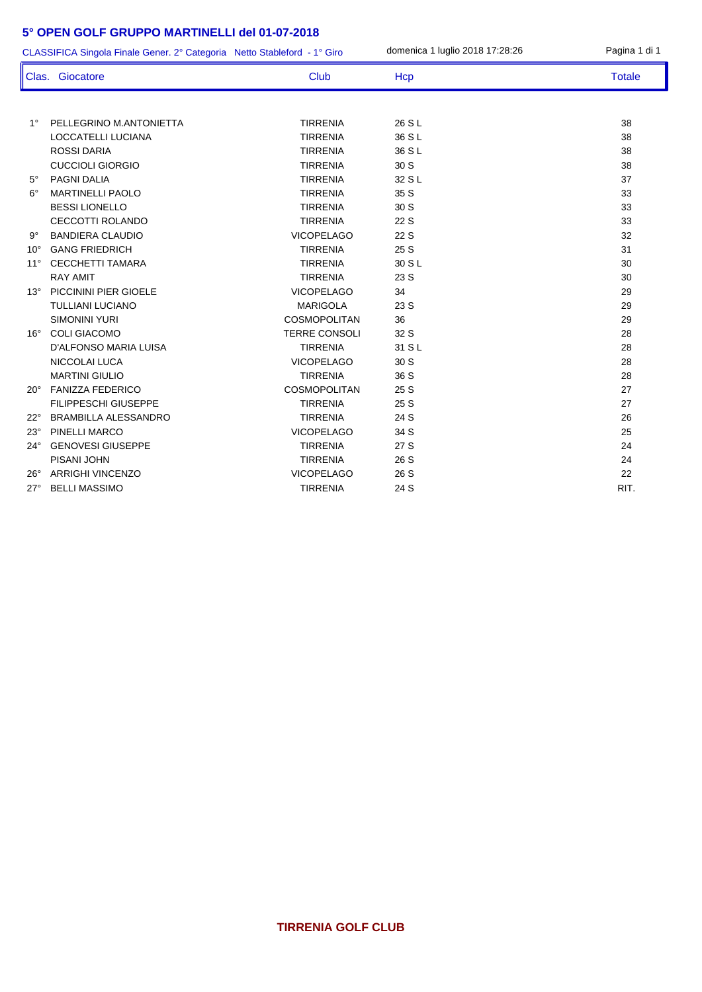1° PELLEGRINO M.ANTONIETTA TIRRENIA 26 S L 38 LOCCATELLI LUCIANA TIRRENIA 36 S L 38 ROSSI DARIA TIRRENIA 36 S L 38 CUCCIOLI GIORGIO TIRRENIA 30 S 38 5° PAGNI DALIA TIRRENIA 32 S L 37 6° MARTINELLI PAOLO TIRRENIA 35 S 33 BESSI LIONELLO TIRRENIA 30 S 33 CECCOTTI ROLANDO TIRRENIA 22 S 33 9° BANDIERA CLAUDIO VICOPELAGO 22 S 32 10° GANG FRIEDRICH TIRRENIA 25 S 31 11° CECCHETTI TAMARA 30 S L RAY AMIT TIRRENIA 23 S 30 13° PICCININI PIER GIOELE 29 VICOPELAGO 34 29 TULLIANI LUCIANO MARIGOLA 23 S 29 SIMONINI YURI COSMOPOLITAN 36 29 16° COLI GIACOMO TERRE CONSOLI 32 S 28 D'ALFONSO MARIA LUISA TIRRENIA 31 S L 28 NICCOLAI LUCA VICOPELAGO 30 S 28 MARTINI GIULIO TIRRENIA 36 S 28 20° FANIZZA FEDERICO COSMOPOLITAN 25 S 27 FILIPPESCHI GIUSEPPE TIRRENIA 25 S 27 22° BRAMBILLA ALESSANDRO TIRRENIA 24 S 26 23° PINELLI MARCO 25 24° GENOVESI GIUSEPPE TIRRENIA 27 S 24 PISANI JOHN 24 26° ARRIGHI VINCENZO VICOPELAGO 26 S 22 27° BELLI MASSIMO TIRRENIA 24 S RIT. CLASSIFICA Singola Finale Gener. 2° Categoria Netto Stableford - 1° Giro domenica 1 luglio 2018 17:28:26 Pagina 1 di 1 Clas. Giocatore Club Club Hcp Totale Totale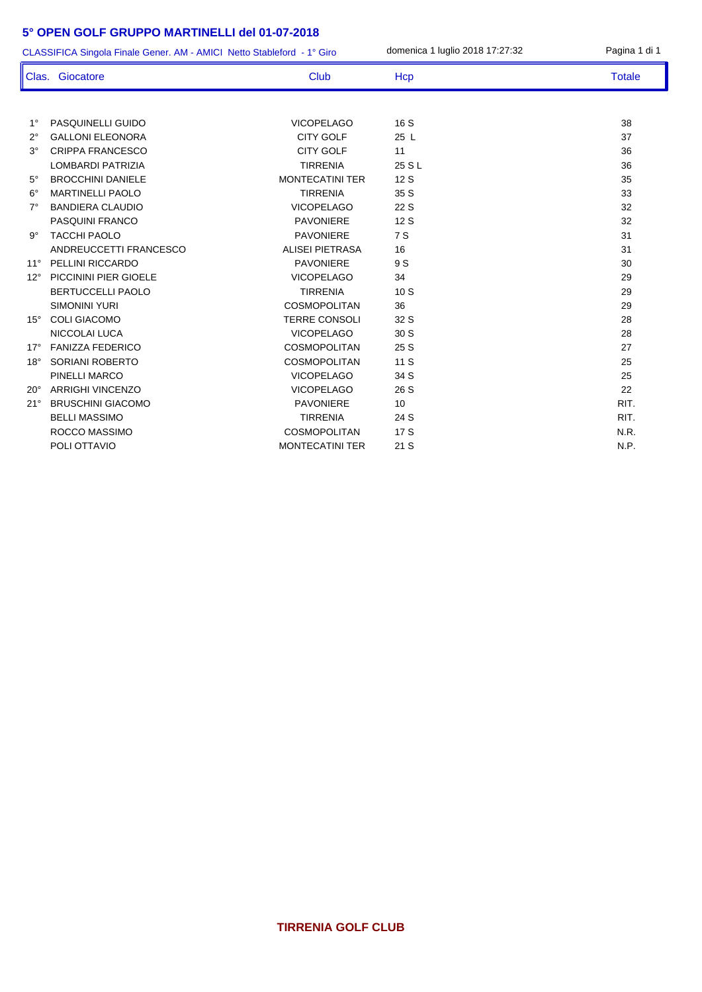| CLASSIFICA Singola Finale Gener. AM - AMICI Netto Stableford - 1° Giro |                          |                        | domenica 1 luglio 2018 17:27:32 | Pagina 1 di 1 |
|------------------------------------------------------------------------|--------------------------|------------------------|---------------------------------|---------------|
|                                                                        | Clas. Giocatore          | <b>Club</b>            | Hcp                             | <b>Totale</b> |
|                                                                        |                          |                        |                                 |               |
| $1^{\circ}$                                                            | PASQUINELLI GUIDO        | <b>VICOPELAGO</b>      | 16S                             | 38            |
| $2^{\circ}$                                                            | <b>GALLONI ELEONORA</b>  | <b>CITY GOLF</b>       | 25L                             | 37            |
| $3^\circ$                                                              | <b>CRIPPA FRANCESCO</b>  | <b>CITY GOLF</b>       | 11                              | 36            |
|                                                                        | <b>LOMBARDI PATRIZIA</b> | <b>TIRRENIA</b>        | 25 S L                          | 36            |
| $5^{\circ}$                                                            | <b>BROCCHINI DANIELE</b> | <b>MONTECATINI TER</b> | 12S                             | 35            |
| $6^{\circ}$                                                            | <b>MARTINELLI PAOLO</b>  | <b>TIRRENIA</b>        | 35 S                            | 33            |
| $7^\circ$                                                              | <b>BANDIERA CLAUDIO</b>  | <b>VICOPELAGO</b>      | 22 S                            | 32            |
|                                                                        | <b>PASQUINI FRANCO</b>   | <b>PAVONIERE</b>       | 12S                             | 32            |
| $9^{\circ}$                                                            | <b>TACCHI PAOLO</b>      | <b>PAVONIERE</b>       | 7 S                             | 31            |
|                                                                        | ANDREUCCETTI FRANCESCO   | <b>ALISEI PIETRASA</b> | 16                              | 31            |
| $11^{\circ}$                                                           | PELLINI RICCARDO         | <b>PAVONIERE</b>       | 9 S                             | 30            |
| $12^{\circ}$                                                           | PICCININI PIER GIOELE    | <b>VICOPELAGO</b>      | 34                              | 29            |
|                                                                        | <b>BERTUCCELLI PAOLO</b> | <b>TIRRENIA</b>        | 10S                             | 29            |
|                                                                        | <b>SIMONINI YURI</b>     | <b>COSMOPOLITAN</b>    | 36                              | 29            |
| $15^\circ$                                                             | <b>COLI GIACOMO</b>      | <b>TERRE CONSOLI</b>   | 32 S                            | 28            |
|                                                                        | NICCOLAI LUCA            | <b>VICOPELAGO</b>      | 30 S                            | 28            |
| $17^\circ$                                                             | <b>FANIZZA FEDERICO</b>  | <b>COSMOPOLITAN</b>    | 25 S                            | 27            |
| $18^\circ$                                                             | <b>SORIANI ROBERTO</b>   | <b>COSMOPOLITAN</b>    | 11 S                            | 25            |
|                                                                        | PINELLI MARCO            | <b>VICOPELAGO</b>      | 34 S                            | 25            |
| 20°                                                                    | <b>ARRIGHI VINCENZO</b>  | <b>VICOPELAGO</b>      | 26 S                            | 22            |
| 21°                                                                    | <b>BRUSCHINI GIACOMO</b> | <b>PAVONIERE</b>       | 10                              | RIT.          |
|                                                                        | <b>BELLI MASSIMO</b>     | <b>TIRRENIA</b>        | 24 S                            | RIT.          |
|                                                                        | ROCCO MASSIMO            | <b>COSMOPOLITAN</b>    | 17 S                            | N.R.          |
|                                                                        | POLI OTTAVIO             | <b>MONTECATINI TER</b> | 21S                             | N.P.          |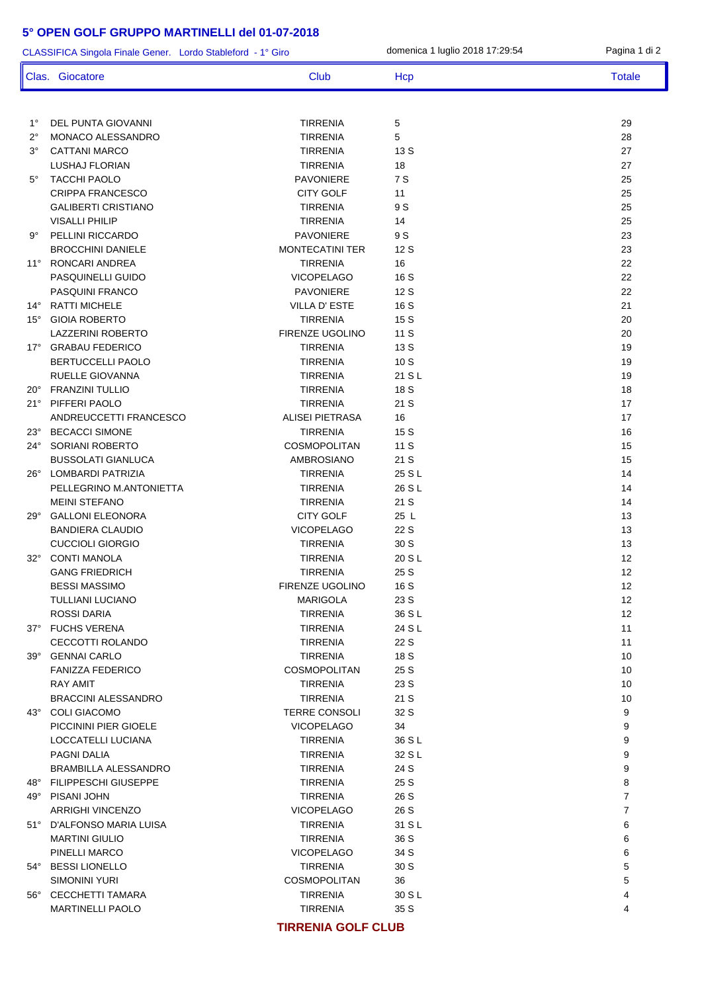| CLASSIFICA Singola Finale Gener. Lordo Stableford - 1° Giro |                             | domenica 1 luglio 2018 17:29:54 | Pagina 1 di 2 |                   |
|-------------------------------------------------------------|-----------------------------|---------------------------------|---------------|-------------------|
|                                                             | Clas. Giocatore             | Club                            | Hcp           | <b>Totale</b>     |
|                                                             |                             |                                 |               |                   |
| $1^{\circ}$                                                 | DEL PUNTA GIOVANNI          | <b>TIRRENIA</b>                 | 5             | 29                |
| $2^{\circ}$                                                 | MONACO ALESSANDRO           | <b>TIRRENIA</b>                 | 5             | 28                |
| $3^{\circ}$                                                 | <b>CATTANI MARCO</b>        | TIRRENIA                        | 13 S          | 27                |
|                                                             | <b>LUSHAJ FLORIAN</b>       | <b>TIRRENIA</b>                 | 18            | 27                |
| $5^{\circ}$                                                 | <b>TACCHI PAOLO</b>         | <b>PAVONIERE</b>                | 7 S           | 25                |
|                                                             | <b>CRIPPA FRANCESCO</b>     | <b>CITY GOLF</b>                | 11            | 25                |
|                                                             | <b>GALIBERTI CRISTIANO</b>  | <b>TIRRENIA</b>                 | 9 S           | 25                |
|                                                             | <b>VISALLI PHILIP</b>       | <b>TIRRENIA</b>                 | 14            | 25                |
| 9°                                                          | PELLINI RICCARDO            | <b>PAVONIERE</b>                | 9 S           | 23                |
|                                                             | <b>BROCCHINI DANIELE</b>    | <b>MONTECATINI TER</b>          | 12 S          | 23                |
| $11^{\circ}$                                                | RONCARI ANDREA              | <b>TIRRENIA</b>                 | 16            | 22                |
|                                                             | PASQUINELLI GUIDO           | <b>VICOPELAGO</b>               | 16 S          | 22                |
|                                                             | PASQUINI FRANCO             | <b>PAVONIERE</b>                | 12 S          | 22                |
| 14°                                                         | <b>RATTI MICHELE</b>        | <b>VILLA D'ESTE</b>             | 16 S          | 21                |
| $15^\circ$                                                  | <b>GIOIA ROBERTO</b>        | <b>TIRRENIA</b>                 | 15 S          | 20                |
|                                                             | <b>LAZZERINI ROBERTO</b>    | <b>FIRENZE UGOLINO</b>          | 11 S          | 20                |
| $17^\circ$                                                  | <b>GRABAU FEDERICO</b>      | <b>TIRRENIA</b>                 | 13 S          | 19                |
|                                                             | <b>BERTUCCELLI PAOLO</b>    | <b>TIRRENIA</b>                 | 10S           | 19                |
|                                                             | RUELLE GIOVANNA             | <b>TIRRENIA</b>                 | 21 S L        | 19                |
|                                                             | 20° FRANZINI TULLIO         | <b>TIRRENIA</b>                 | 18 S          | 18                |
|                                                             | 21° PIFFERI PAOLO           | <b>TIRRENIA</b>                 | 21 S          | 17                |
|                                                             | ANDREUCCETTI FRANCESCO      | ALISEI PIETRASA                 | 16            | 17                |
| $23^\circ$                                                  | <b>BECACCI SIMONE</b>       | <b>TIRRENIA</b>                 | 15 S          | 16                |
| $24^{\circ}$                                                | SORIANI ROBERTO             | COSMOPOLITAN                    | 11 S          | 15                |
|                                                             | <b>BUSSOLATI GIANLUCA</b>   | AMBROSIANO                      | 21 S          | 15                |
| $26^\circ$                                                  | LOMBARDI PATRIZIA           | <b>TIRRENIA</b>                 | 25 S L        | 14                |
|                                                             | PELLEGRINO M.ANTONIETTA     | <b>TIRRENIA</b>                 | 26 S L        | 14                |
|                                                             | <b>MEINI STEFANO</b>        | <b>TIRRENIA</b>                 | 21 S          | 14                |
| $29^\circ$                                                  | <b>GALLONI ELEONORA</b>     | <b>CITY GOLF</b>                | 25 L          | 13                |
|                                                             | <b>BANDIERA CLAUDIO</b>     | <b>VICOPELAGO</b>               | 22 S          | 13                |
|                                                             | <b>CUCCIOLI GIORGIO</b>     | <b>TIRRENIA</b>                 | 30 S          | 13                |
| $32^\circ$                                                  | <b>CONTI MANOLA</b>         | <b>TIRRENIA</b>                 | 20 S L        | 12                |
|                                                             | <b>GANG FRIEDRICH</b>       | <b>TIRRENIA</b>                 | 25 S          | 12                |
|                                                             | <b>BESSI MASSIMO</b>        | <b>FIRENZE UGOLINO</b>          | 16 S          | $12 \overline{ }$ |
|                                                             | <b>TULLIANI LUCIANO</b>     | <b>MARIGOLA</b>                 | 23 S          | 12                |
|                                                             | ROSSI DARIA                 | TIRRENIA                        | 36 S L        | 12                |
|                                                             | 37° FUCHS VERENA            | TIRRENIA                        | 24 S L        | 11                |
|                                                             | CECCOTTI ROLANDO            | TIRRENIA                        | 22 S          | 11                |
|                                                             | 39° GENNAI CARLO            | <b>TIRRENIA</b>                 | 18 S          | 10                |
|                                                             | <b>FANIZZA FEDERICO</b>     | <b>COSMOPOLITAN</b>             | 25 S          | 10                |
|                                                             | RAY AMIT                    | TIRRENIA                        | 23 S          | 10                |
|                                                             | <b>BRACCINI ALESSANDRO</b>  | <b>TIRRENIA</b>                 | 21 S          | 10                |
|                                                             | 43° COLI GIACOMO            | <b>TERRE CONSOLI</b>            | 32 S          | 9                 |
|                                                             | PICCININI PIER GIOELE       | <b>VICOPELAGO</b>               | 34            | 9                 |
|                                                             | LOCCATELLI LUCIANA          | <b>TIRRENIA</b>                 | 36 S L        | 9                 |
|                                                             | PAGNI DALIA                 | <b>TIRRENIA</b>                 | 32 S L        | 9                 |
|                                                             | <b>BRAMBILLA ALESSANDRO</b> | <b>TIRRENIA</b>                 | 24 S          | 9                 |
|                                                             | 48° FILIPPESCHI GIUSEPPE    | TIRRENIA                        | 25 S          | 8                 |
|                                                             | 49° PISANI JOHN             | <b>TIRRENIA</b>                 | 26 S          | $\overline{7}$    |
|                                                             | <b>ARRIGHI VINCENZO</b>     | <b>VICOPELAGO</b>               | 26 S          | $\overline{7}$    |
|                                                             | 51° D'ALFONSO MARIA LUISA   | <b>TIRRENIA</b>                 | 31 S L        | 6                 |
|                                                             | <b>MARTINI GIULIO</b>       | TIRRENIA                        | 36 S          | 6                 |
|                                                             | PINELLI MARCO               | <b>VICOPELAGO</b>               | 34 S          | 6                 |
|                                                             | 54° BESSI LIONELLO          | <b>TIRRENIA</b>                 | 30 S          | 5                 |
|                                                             | SIMONINI YURI               | <b>COSMOPOLITAN</b>             | 36            | 5                 |
|                                                             | 56° CECCHETTI TAMARA        | <b>TIRRENIA</b>                 | 30 S L        | 4                 |
|                                                             | <b>MARTINELLI PAOLO</b>     | <b>TIRRENIA</b>                 | 35 S          | 4                 |
|                                                             |                             |                                 |               |                   |

#### **TIRRENIA GOLF CLUB**